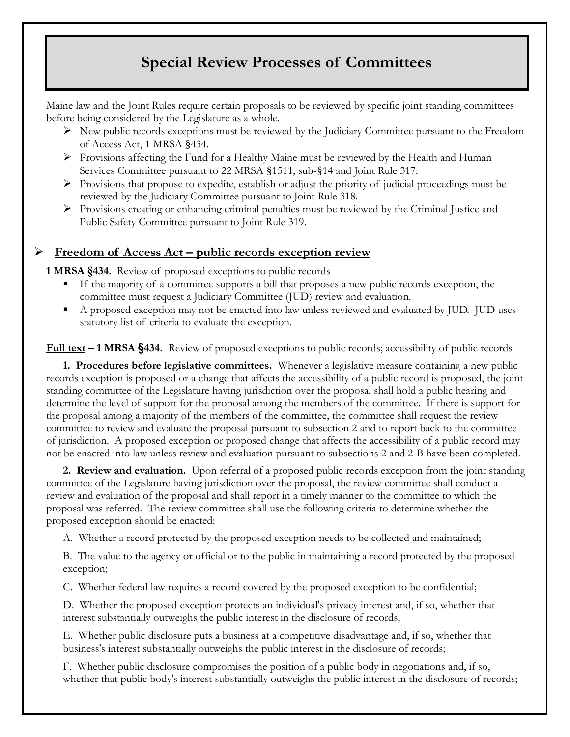# **Special Review Processes of Committees**

Maine law and the Joint Rules require certain proposals to be reviewed by specific joint standing committees before being considered by the Legislature as a whole.

- $\triangleright$  New public records exceptions must be reviewed by the Judiciary Committee pursuant to the Freedom of Access Act, 1 MRSA §434.
- Provisions affecting the Fund for a Healthy Maine must be reviewed by the Health and Human Services Committee pursuant to 22 MRSA §1511, sub-§14 and Joint Rule 317.
- $\triangleright$  Provisions that propose to expedite, establish or adjust the priority of judicial proceedings must be reviewed by the Judiciary Committee pursuant to Joint Rule 318.
- Provisions creating or enhancing criminal penalties must be reviewed by the Criminal Justice and Public Safety Committee pursuant to Joint Rule 319.

## **Freedom of Access Act – public records exception review**

**1 MRSA §434.** Review of proposed exceptions to public records

- If the majority of a committee supports a bill that proposes a new public records exception, the committee must request a Judiciary Committee (JUD) review and evaluation.
- A proposed exception may not be enacted into law unless reviewed and evaluated by JUD. JUD uses statutory list of criteria to evaluate the exception.

**Full text – 1 MRSA §434.** Review of proposed exceptions to public records; accessibility of public records

**1. Procedures before legislative committees.** Whenever a legislative measure containing a new public records exception is proposed or a change that affects the accessibility of a public record is proposed, the joint standing committee of the Legislature having jurisdiction over the proposal shall hold a public hearing and determine the level of support for the proposal among the members of the committee. If there is support for the proposal among a majority of the members of the committee, the committee shall request the review committee to review and evaluate the proposal pursuant to subsection 2 and to report back to the committee of jurisdiction. A proposed exception or proposed change that affects the accessibility of a public record may not be enacted into law unless review and evaluation pursuant to subsections 2 and 2-B have been completed.

**2. Review and evaluation.** Upon referral of a proposed public records exception from the joint standing committee of the Legislature having jurisdiction over the proposal, the review committee shall conduct a review and evaluation of the proposal and shall report in a timely manner to the committee to which the proposal was referred. The review committee shall use the following criteria to determine whether the proposed exception should be enacted:

A. Whether a record protected by the proposed exception needs to be collected and maintained;

B. The value to the agency or official or to the public in maintaining a record protected by the proposed exception;

C. Whether federal law requires a record covered by the proposed exception to be confidential;

D. Whether the proposed exception protects an individual's privacy interest and, if so, whether that interest substantially outweighs the public interest in the disclosure of records;

E. Whether public disclosure puts a business at a competitive disadvantage and, if so, whether that business's interest substantially outweighs the public interest in the disclosure of records;

F. Whether public disclosure compromises the position of a public body in negotiations and, if so, whether that public body's interest substantially outweighs the public interest in the disclosure of records;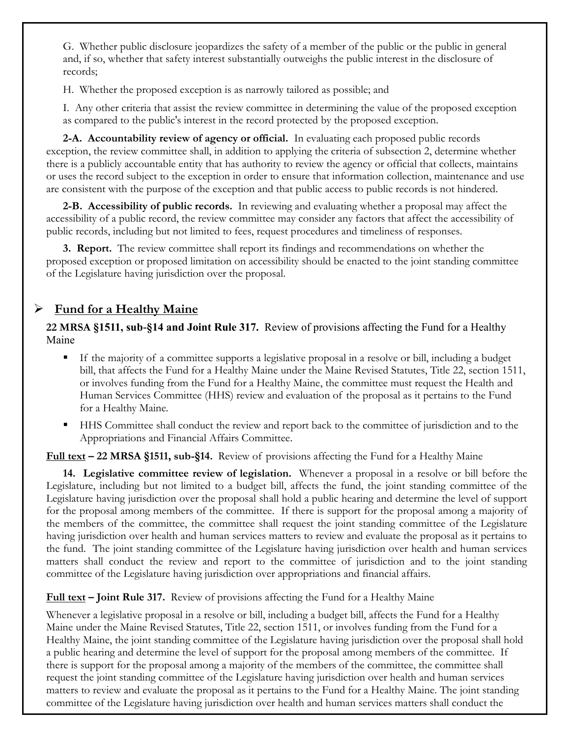G. Whether public disclosure jeopardizes the safety of a member of the public or the public in general and, if so, whether that safety interest substantially outweighs the public interest in the disclosure of records;

H. Whether the proposed exception is as narrowly tailored as possible; and

I. Any other criteria that assist the review committee in determining the value of the proposed exception as compared to the public's interest in the record protected by the proposed exception.

**2-A. Accountability review of agency or official.** In evaluating each proposed public records exception, the review committee shall, in addition to applying the criteria of subsection 2, determine whether there is a publicly accountable entity that has authority to review the agency or official that collects, maintains or uses the record subject to the exception in order to ensure that information collection, maintenance and use are consistent with the purpose of the exception and that public access to public records is not hindered.

**2-B. Accessibility of public records.** In reviewing and evaluating whether a proposal may affect the accessibility of a public record, the review committee may consider any factors that affect the accessibility of public records, including but not limited to fees, request procedures and timeliness of responses.

**3. Report.** The review committee shall report its findings and recommendations on whether the proposed exception or proposed limitation on accessibility should be enacted to the joint standing committee of the Legislature having jurisdiction over the proposal.

## **Fund for a Healthy Maine**

### **22 MRSA §1511, sub-§14 and Joint Rule 317.** Review of provisions affecting the Fund for a Healthy Maine

- If the majority of a committee supports a legislative proposal in a resolve or bill, including a budget bill, that affects the Fund for a Healthy Maine under the Maine Revised Statutes, Title 22, section 1511, or involves funding from the Fund for a Healthy Maine, the committee must request the Health and Human Services Committee (HHS) review and evaluation of the proposal as it pertains to the Fund for a Healthy Maine.
- HHS Committee shall conduct the review and report back to the committee of jurisdiction and to the Appropriations and Financial Affairs Committee.

**Full text – 22 MRSA §1511, sub-§14.** Review of provisions affecting the Fund for a Healthy Maine

**14. Legislative committee review of legislation.** Whenever a proposal in a resolve or bill before the Legislature, including but not limited to a budget bill, affects the fund, the joint standing committee of the Legislature having jurisdiction over the proposal shall hold a public hearing and determine the level of support for the proposal among members of the committee. If there is support for the proposal among a majority of the members of the committee, the committee shall request the joint standing committee of the Legislature having jurisdiction over health and human services matters to review and evaluate the proposal as it pertains to the fund. The joint standing committee of the Legislature having jurisdiction over health and human services matters shall conduct the review and report to the committee of jurisdiction and to the joint standing committee of the Legislature having jurisdiction over appropriations and financial affairs.

### **Full text – Joint Rule 317.** Review of provisions affecting the Fund for a Healthy Maine

Whenever a legislative proposal in a resolve or bill, including a budget bill, affects the Fund for a Healthy Maine under the Maine Revised Statutes, Title 22, section 1511, or involves funding from the Fund for a Healthy Maine, the joint standing committee of the Legislature having jurisdiction over the proposal shall hold a public hearing and determine the level of support for the proposal among members of the committee. If there is support for the proposal among a majority of the members of the committee, the committee shall request the joint standing committee of the Legislature having jurisdiction over health and human services matters to review and evaluate the proposal as it pertains to the Fund for a Healthy Maine. The joint standing committee of the Legislature having jurisdiction over health and human services matters shall conduct the